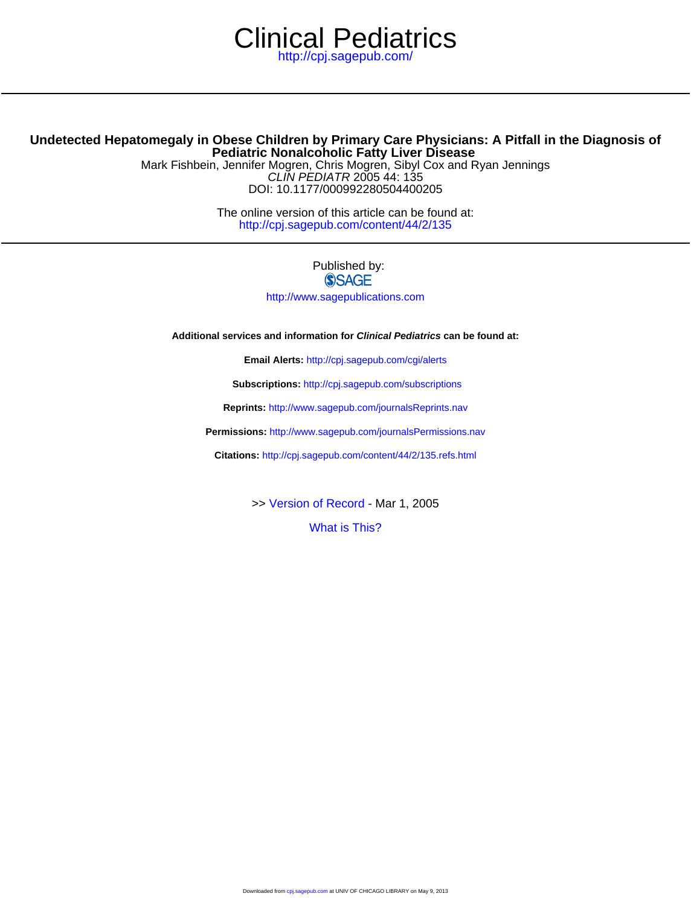# <http://cpj.sagepub.com/> Clinical Pediatrics

# **Pediatric Nonalcoholic Fatty Liver Disease Undetected Hepatomegaly in Obese Children by Primary Care Physicians: A Pitfall in the Diagnosis of**

DOI: 10.1177/000992280504400205 CLIN PEDIATR 2005 44: 135 Mark Fishbein, Jennifer Mogren, Chris Mogren, Sibyl Cox and Ryan Jennings

> <http://cpj.sagepub.com/content/44/2/135> The online version of this article can be found at:

> > Published by: **SSAGE**

<http://www.sagepublications.com>

**Additional services and information for Clinical Pediatrics can be found at:**

**Email Alerts:** <http://cpj.sagepub.com/cgi/alerts>

**Subscriptions:** <http://cpj.sagepub.com/subscriptions>

**Reprints:** <http://www.sagepub.com/journalsReprints.nav>

**Permissions:** <http://www.sagepub.com/journalsPermissions.nav>

**Citations:** <http://cpj.sagepub.com/content/44/2/135.refs.html>

>> [Version of Record -](http://cpj.sagepub.com/content/44/2/135.full.pdf) Mar 1, 2005

[What is This?](http://online.sagepub.com/site/sphelp/vorhelp.xhtml)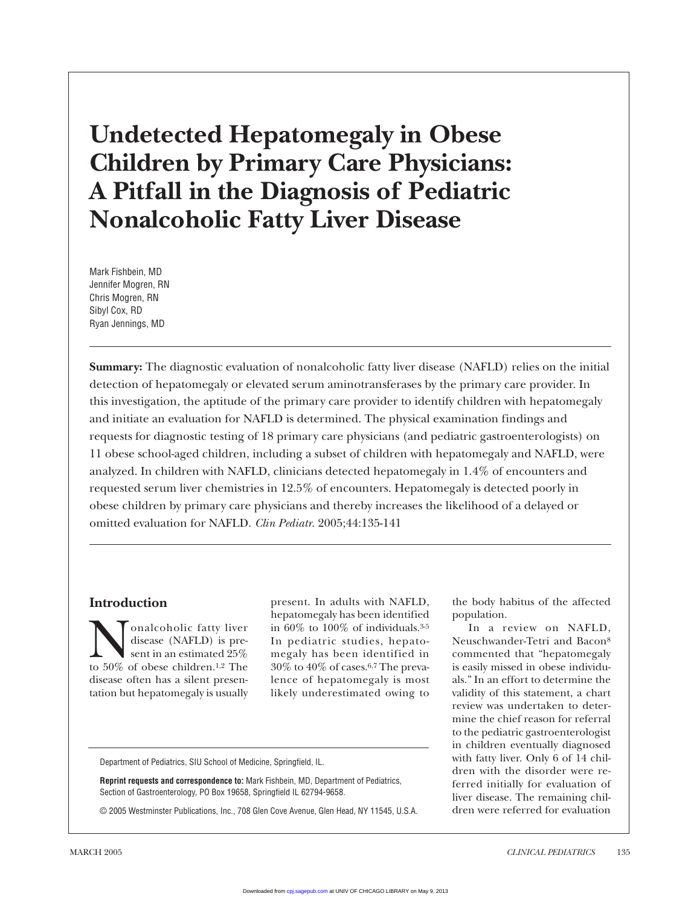# **Undetected Hepatomegaly in Obese Children by Primary Care Physicians: A Pitfall in the Diagnosis of Pediatric Nonalcoholic Fatty Liver Disease**

Mark Fishbein, MD Jennifer Mogren, RN Chris Mogren, RN Sibyl Cox, RD Ryan Jennings, MD

**Summary:** The diagnostic evaluation of nonalcoholic fatty liver disease (NAFLD) relies on the initial detection of hepatomegaly or elevated serum aminotransferases by the primary care provider. In this investigation, the aptitude of the primary care provider to identify children with hepatomegaly and initiate an evaluation for NAFLD is determined. The physical examination findings and requests for diagnostic testing of 18 primary care physicians (and pediatric gastroenterologists) on 11 obese school-aged children, including a subset of children with hepatomegaly and NAFLD, were analyzed. In children with NAFLD, clinicians detected hepatomegaly in 1.4% of encounters and requested serum liver chemistries in 12.5% of encounters. Hepatomegaly is detected poorly in obese children by primary care physicians and thereby increases the likelihood of a delayed or omitted evaluation for NAFLD. *Clin Pediatr*. 2005;44:135-141

# **Introduction**

**Nonalcoholic fatty liver**<br>disease (NAFLD) is pre-<br>to 50% of obese children.<sup>1,2</sup> The disease (NAFLD) is present in an estimated 25% disease often has a silent presentation but hepatomegaly is usually present. In adults with NAFLD, hepatomegaly has been identified in 60% to 100% of individuals.3-5 In pediatric studies, hepatomegaly has been identified in 30% to 40% of cases.6,7 The prevalence of hepatomegaly is most likely underestimated owing to

Department of Pediatrics, SIU School of Medicine, Springfield, IL.

**Reprint requests and correspondence to:** Mark Fishbein, MD, Department of Pediatrics, Section of Gastroenterology, PO Box 19658, Springfield IL 62794-9658.

© 2005 Westminster Publications, Inc., 708 Glen Cove Avenue, Glen Head, NY 11545, U.S.A.

the body habitus of the affected population.

In a review on NAFLD, Neuschwander-Tetri and Bacon8 commented that "hepatomegaly is easily missed in obese individuals." In an effort to determine the validity of this statement, a chart review was undertaken to determine the chief reason for referral to the pediatric gastroenterologist in children eventually diagnosed with fatty liver. Only 6 of 14 children with the disorder were referred initially for evaluation of liver disease. The remaining children were referred for evaluation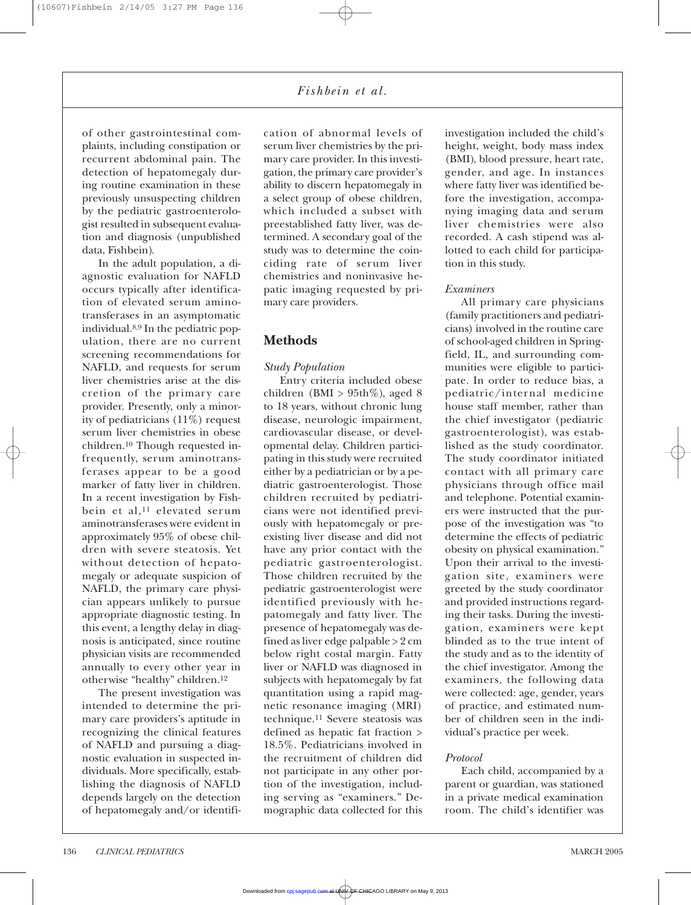*Fishbein et al.*

of other gastrointestinal complaints, including constipation or recurrent abdominal pain. The detection of hepatomegaly during routine examination in these previously unsuspecting children by the pediatric gastroenterologist resulted in subsequent evaluation and diagnosis (unpublished data, Fishbein).

In the adult population, a diagnostic evaluation for NAFLD occurs typically after identification of elevated serum aminotransferases in an asymptomatic individual.8,9 In the pediatric population, there are no current screening recommendations for NAFLD, and requests for serum liver chemistries arise at the discretion of the primary care provider. Presently, only a minority of pediatricians (11%) request serum liver chemistries in obese children.10 Though requested infrequently, serum aminotransferases appear to be a good marker of fatty liver in children. In a recent investigation by Fishbein et al,<sup>11</sup> elevated serum aminotransferases were evident in approximately 95% of obese children with severe steatosis. Yet without detection of hepatomegaly or adequate suspicion of NAFLD, the primary care physician appears unlikely to pursue appropriate diagnostic testing. In this event, a lengthy delay in diagnosis is anticipated, since routine physician visits are recommended annually to every other year in otherwise "healthy" children.12

The present investigation was intended to determine the primary care providers's aptitude in recognizing the clinical features of NAFLD and pursuing a diagnostic evaluation in suspected individuals. More specifically, establishing the diagnosis of NAFLD depends largely on the detection of hepatomegaly and/or identifi-

cation of abnormal levels of serum liver chemistries by the primary care provider. In this investigation, the primary care provider's ability to discern hepatomegaly in a select group of obese children, which included a subset with preestablished fatty liver, was determined. A secondary goal of the study was to determine the coinciding rate of serum liver chemistries and noninvasive hepatic imaging requested by primary care providers.

### **Methods**

#### *Study Population*

Entry criteria included obese children (BMI  $> 95th\%$ ), aged 8 to 18 years, without chronic lung disease, neurologic impairment, cardiovascular disease, or developmental delay. Children participating in this study were recruited either by a pediatrician or by a pediatric gastroenterologist. Those children recruited by pediatricians were not identified previously with hepatomegaly or preexisting liver disease and did not have any prior contact with the pediatric gastroenterologist. Those children recruited by the pediatric gastroenterologist were identified previously with hepatomegaly and fatty liver. The presence of hepatomegaly was defined as liver edge palpable > 2 cm below right costal margin. Fatty liver or NAFLD was diagnosed in subjects with hepatomegaly by fat quantitation using a rapid magnetic resonance imaging (MRI) technique.11 Severe steatosis was defined as hepatic fat fraction > 18.5%. Pediatricians involved in the recruitment of children did not participate in any other portion of the investigation, including serving as "examiners." Demographic data collected for this investigation included the child's height, weight, body mass index (BMI), blood pressure, heart rate, gender, and age. In instances where fatty liver was identified before the investigation, accompanying imaging data and serum liver chemistries were also recorded. A cash stipend was allotted to each child for participation in this study.

#### *Examiners*

All primary care physicians (family practitioners and pediatricians) involved in the routine care of school-aged children in Springfield, IL, and surrounding communities were eligible to participate. In order to reduce bias, a pediatric/internal medicine house staff member, rather than the chief investigator (pediatric gastroenterologist), was established as the study coordinator. The study coordinator initiated contact with all primary care physicians through office mail and telephone. Potential examiners were instructed that the purpose of the investigation was "to determine the effects of pediatric obesity on physical examination." Upon their arrival to the investigation site, examiners were greeted by the study coordinator and provided instructions regarding their tasks. During the investigation, examiners were kept blinded as to the true intent of the study and as to the identity of the chief investigator. Among the examiners, the following data were collected: age, gender, years of practice, and estimated number of children seen in the individual's practice per week.

#### *Protocol*

Each child, accompanied by a parent or guardian, was stationed in a private medical examination room. The child's identifier was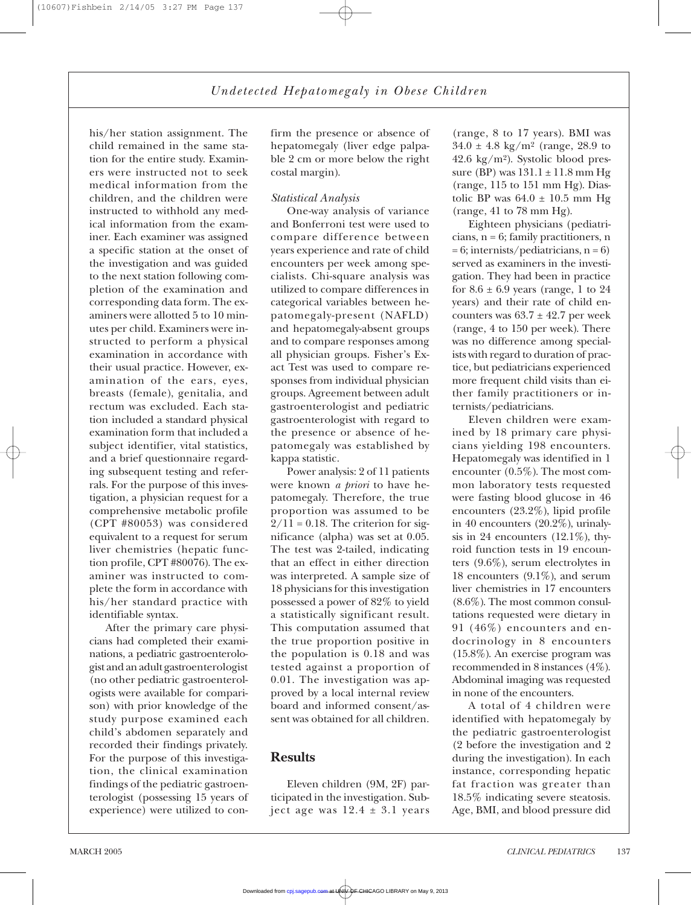*Undetected Hepatomegaly in Obese Children*

his/her station assignment. The child remained in the same station for the entire study. Examiners were instructed not to seek medical information from the children, and the children were instructed to withhold any medical information from the examiner. Each examiner was assigned a specific station at the onset of the investigation and was guided to the next station following completion of the examination and corresponding data form. The examiners were allotted 5 to 10 minutes per child. Examiners were instructed to perform a physical examination in accordance with their usual practice. However, examination of the ears, eyes, breasts (female), genitalia, and rectum was excluded. Each station included a standard physical examination form that included a subject identifier, vital statistics, and a brief questionnaire regarding subsequent testing and referrals. For the purpose of this investigation, a physician request for a comprehensive metabolic profile (CPT #80053) was considered equivalent to a request for serum liver chemistries (hepatic function profile, CPT #80076). The examiner was instructed to complete the form in accordance with his/her standard practice with identifiable syntax.

After the primary care physicians had completed their examinations, a pediatric gastroenterologist and an adult gastroenterologist (no other pediatric gastroenterologists were available for comparison) with prior knowledge of the study purpose examined each child's abdomen separately and recorded their findings privately. For the purpose of this investigation, the clinical examination findings of the pediatric gastroenterologist (possessing 15 years of experience) were utilized to confirm the presence or absence of hepatomegaly (liver edge palpable 2 cm or more below the right costal margin).

#### *Statistical Analysis*

One-way analysis of variance and Bonferroni test were used to compare difference between years experience and rate of child encounters per week among specialists. Chi-square analysis was utilized to compare differences in categorical variables between hepatomegaly-present (NAFLD) and hepatomegaly-absent groups and to compare responses among all physician groups. Fisher's Exact Test was used to compare responses from individual physician groups. Agreement between adult gastroenterologist and pediatric gastroenterologist with regard to the presence or absence of hepatomegaly was established by kappa statistic.

Power analysis: 2 of 11 patients were known *a priori* to have hepatomegaly. Therefore, the true proportion was assumed to be  $2/11 = 0.18$ . The criterion for significance (alpha) was set at 0.05. The test was 2-tailed, indicating that an effect in either direction was interpreted. A sample size of 18 physicians for this investigation possessed a power of 82% to yield a statistically significant result. This computation assumed that the true proportion positive in the population is 0.18 and was tested against a proportion of 0.01. The investigation was approved by a local internal review board and informed consent/assent was obtained for all children.

#### **Results**

Eleven children (9M, 2F) participated in the investigation. Subject age was  $12.4 \pm 3.1$  years

(range, 8 to 17 years). BMI was  $34.0 \pm 4.8$  kg/m<sup>2</sup> (range, 28.9 to 42.6 kg/m<sup>2</sup>). Systolic blood pressure (BP) was  $131.1 \pm 11.8$  mm Hg (range, 115 to 151 mm Hg). Diastolic BP was  $64.0 \pm 10.5$  mm Hg (range, 41 to 78 mm Hg).

Eighteen physicians (pediatricians, n = 6; family practitioners, n  $= 6$ ; internists/pediatricians, n = 6) served as examiners in the investigation. They had been in practice for  $8.6 \pm 6.9$  years (range, 1 to 24 years) and their rate of child encounters was  $63.7 \pm 42.7$  per week (range, 4 to 150 per week). There was no difference among specialists with regard to duration of practice, but pediatricians experienced more frequent child visits than either family practitioners or internists/pediatricians.

Eleven children were examined by 18 primary care physicians yielding 198 encounters. Hepatomegaly was identified in 1 encounter (0.5%). The most common laboratory tests requested were fasting blood glucose in 46 encounters (23.2%), lipid profile in 40 encounters (20.2%), urinalysis in 24 encounters  $(12.1\%)$ , thyroid function tests in 19 encounters (9.6%), serum electrolytes in 18 encounters (9.1%), and serum liver chemistries in 17 encounters (8.6%). The most common consultations requested were dietary in 91 (46%) encounters and endocrinology in 8 encounters (15.8%). An exercise program was recommended in 8 instances (4%). Abdominal imaging was requested in none of the encounters.

A total of 4 children were identified with hepatomegaly by the pediatric gastroenterologist (2 before the investigation and 2 during the investigation). In each instance, corresponding hepatic fat fraction was greater than 18.5% indicating severe steatosis. Age, BMI, and blood pressure did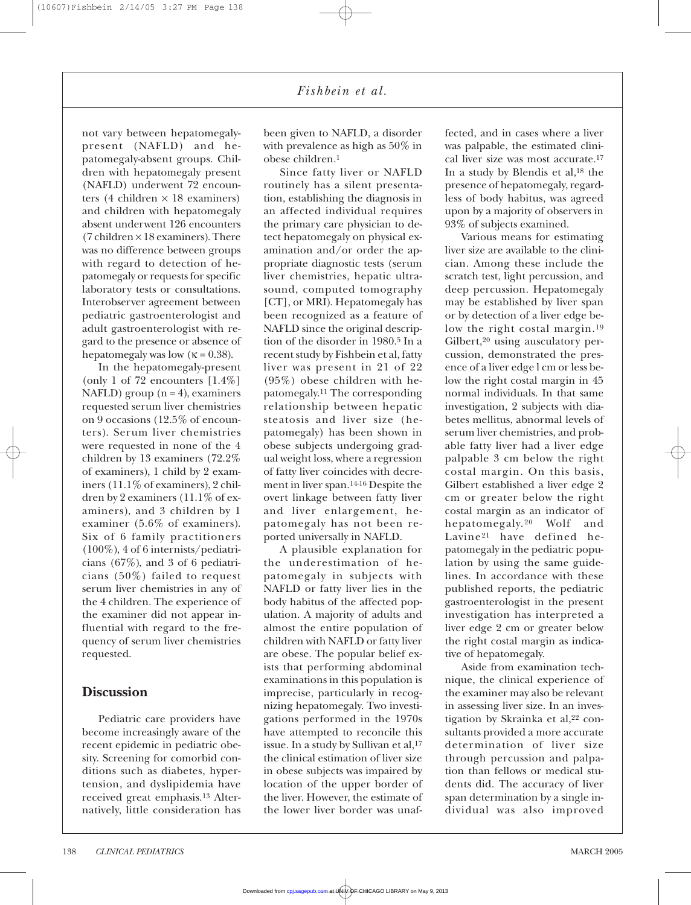*Fishbein et al.*

not vary between hepatomegalypresent (NAFLD) and hepatomegaly-absent groups. Children with hepatomegaly present (NAFLD) underwent 72 encounters (4 children  $\times$  18 examiners) and children with hepatomegaly absent underwent 126 encounters (7 children  $\times$  18 examiners). There was no difference between groups with regard to detection of hepatomegaly or requests for specific laboratory tests or consultations. Interobserver agreement between pediatric gastroenterologist and adult gastroenterologist with regard to the presence or absence of hepatomegaly was low ( $\kappa = 0.38$ ).

In the hepatomegaly-present (only 1 of 72 encounters [1.4%] NAFLD) group  $(n = 4)$ , examiners requested serum liver chemistries on 9 occasions (12.5% of encounters). Serum liver chemistries were requested in none of the 4 children by 13 examiners (72.2% of examiners), 1 child by 2 examiners (11.1% of examiners), 2 children by 2 examiners (11.1% of examiners), and 3 children by 1 examiner (5.6% of examiners). Six of 6 family practitioners (100%), 4 of 6 internists/pediatricians (67%), and 3 of 6 pediatricians (50%) failed to request serum liver chemistries in any of the 4 children. The experience of the examiner did not appear influential with regard to the frequency of serum liver chemistries requested.

#### **Discussion**

Pediatric care providers have become increasingly aware of the recent epidemic in pediatric obesity. Screening for comorbid conditions such as diabetes, hypertension, and dyslipidemia have received great emphasis.13 Alternatively, little consideration has been given to NAFLD, a disorder with prevalence as high as 50% in obese children.1

Since fatty liver or NAFLD routinely has a silent presentation, establishing the diagnosis in an affected individual requires the primary care physician to detect hepatomegaly on physical examination and/or order the appropriate diagnostic tests (serum liver chemistries, hepatic ultrasound, computed tomography [CT], or MRI). Hepatomegaly has been recognized as a feature of NAFLD since the original description of the disorder in 1980.5 In a recent study by Fishbein et al, fatty liver was present in 21 of 22 (95%) obese children with hepatomegaly.11 The corresponding relationship between hepatic steatosis and liver size (hepatomegaly) has been shown in obese subjects undergoing gradual weight loss, where a regression of fatty liver coincides with decrement in liver span.14-16 Despite the overt linkage between fatty liver and liver enlargement, hepatomegaly has not been reported universally in NAFLD.

A plausible explanation for the underestimation of hepatomegaly in subjects with NAFLD or fatty liver lies in the body habitus of the affected population. A majority of adults and almost the entire population of children with NAFLD or fatty liver are obese. The popular belief exists that performing abdominal examinations in this population is imprecise, particularly in recognizing hepatomegaly. Two investigations performed in the 1970s have attempted to reconcile this issue. In a study by Sullivan et al,<sup>17</sup> the clinical estimation of liver size in obese subjects was impaired by location of the upper border of the liver. However, the estimate of the lower liver border was unaffected, and in cases where a liver was palpable, the estimated clinical liver size was most accurate.17 In a study by Blendis et al,18 the presence of hepatomegaly, regardless of body habitus, was agreed upon by a majority of observers in 93% of subjects examined.

Various means for estimating liver size are available to the clinician. Among these include the scratch test, light percussion, and deep percussion. Hepatomegaly may be established by liver span or by detection of a liver edge below the right costal margin.19 Gilbert,<sup>20</sup> using ausculatory percussion, demonstrated the presence of a liver edge l cm or less below the right costal margin in 45 normal individuals. In that same investigation, 2 subjects with diabetes mellitus, abnormal levels of serum liver chemistries, and probable fatty liver had a liver edge palpable 3 cm below the right costal margin. On this basis, Gilbert established a liver edge 2 cm or greater below the right costal margin as an indicator of hepatomegaly.20 Wolf and Lavine21 have defined hepatomegaly in the pediatric population by using the same guidelines. In accordance with these published reports, the pediatric gastroenterologist in the present investigation has interpreted a liver edge 2 cm or greater below the right costal margin as indicative of hepatomegaly.

Aside from examination technique, the clinical experience of the examiner may also be relevant in assessing liver size. In an investigation by Skrainka et al,<sup>22</sup> consultants provided a more accurate determination of liver size through percussion and palpation than fellows or medical students did. The accuracy of liver span determination by a single individual was also improved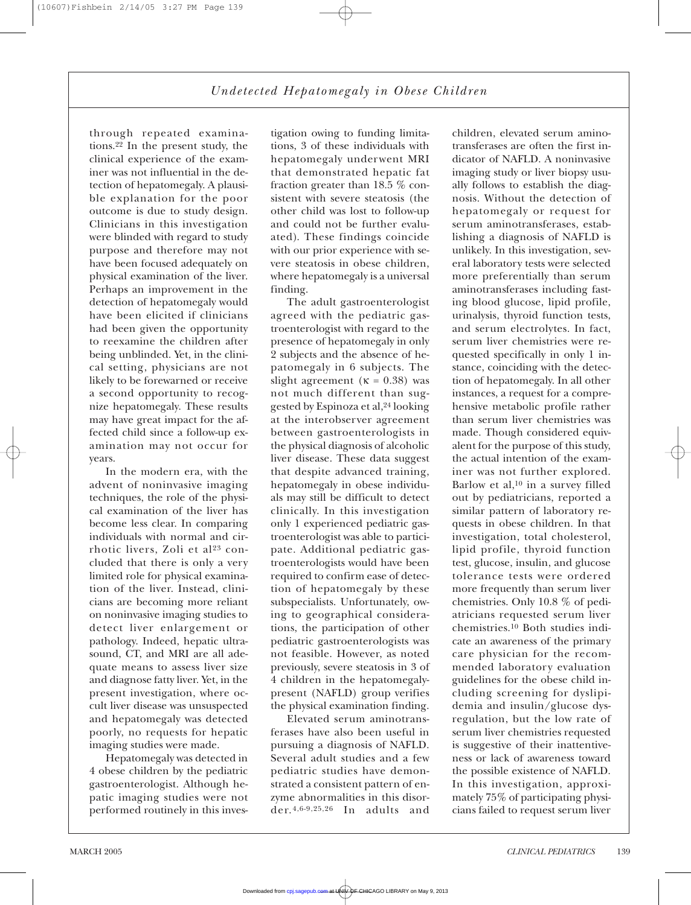## *Undetected Hepatomegaly in Obese Children*

through repeated examinations.22 In the present study, the clinical experience of the examiner was not influential in the detection of hepatomegaly. A plausible explanation for the poor outcome is due to study design. Clinicians in this investigation were blinded with regard to study purpose and therefore may not have been focused adequately on physical examination of the liver. Perhaps an improvement in the detection of hepatomegaly would have been elicited if clinicians had been given the opportunity to reexamine the children after being unblinded. Yet, in the clinical setting, physicians are not likely to be forewarned or receive a second opportunity to recognize hepatomegaly. These results may have great impact for the affected child since a follow-up examination may not occur for years.

In the modern era, with the advent of noninvasive imaging techniques, the role of the physical examination of the liver has become less clear. In comparing individuals with normal and cirrhotic livers, Zoli et al<sup>23</sup> concluded that there is only a very limited role for physical examination of the liver. Instead, clinicians are becoming more reliant on noninvasive imaging studies to detect liver enlargement or pathology. Indeed, hepatic ultrasound, CT, and MRI are all adequate means to assess liver size and diagnose fatty liver. Yet, in the present investigation, where occult liver disease was unsuspected and hepatomegaly was detected poorly, no requests for hepatic imaging studies were made.

Hepatomegaly was detected in 4 obese children by the pediatric gastroenterologist. Although hepatic imaging studies were not performed routinely in this investigation owing to funding limitations, 3 of these individuals with hepatomegaly underwent MRI that demonstrated hepatic fat fraction greater than 18.5 % consistent with severe steatosis (the other child was lost to follow-up and could not be further evaluated). These findings coincide with our prior experience with severe steatosis in obese children, where hepatomegaly is a universal finding.

The adult gastroenterologist agreed with the pediatric gastroenterologist with regard to the presence of hepatomegaly in only 2 subjects and the absence of hepatomegaly in 6 subjects. The slight agreement ( $\kappa = 0.38$ ) was not much different than suggested by Espinoza et al,24 looking at the interobserver agreement between gastroenterologists in the physical diagnosis of alcoholic liver disease. These data suggest that despite advanced training, hepatomegaly in obese individuals may still be difficult to detect clinically. In this investigation only 1 experienced pediatric gastroenterologist was able to participate. Additional pediatric gastroenterologists would have been required to confirm ease of detection of hepatomegaly by these subspecialists. Unfortunately, owing to geographical considerations, the participation of other pediatric gastroenterologists was not feasible. However, as noted previously, severe steatosis in 3 of 4 children in the hepatomegalypresent (NAFLD) group verifies the physical examination finding.

Elevated serum aminotransferases have also been useful in pursuing a diagnosis of NAFLD. Several adult studies and a few pediatric studies have demonstrated a consistent pattern of enzyme abnormalities in this disorder. 4,6-9,25,26 In adults and children, elevated serum aminotransferases are often the first indicator of NAFLD. A noninvasive imaging study or liver biopsy usually follows to establish the diagnosis. Without the detection of hepatomegaly or request for serum aminotransferases, establishing a diagnosis of NAFLD is unlikely. In this investigation, several laboratory tests were selected more preferentially than serum aminotransferases including fasting blood glucose, lipid profile, urinalysis, thyroid function tests, and serum electrolytes. In fact, serum liver chemistries were requested specifically in only 1 instance, coinciding with the detection of hepatomegaly. In all other instances, a request for a comprehensive metabolic profile rather than serum liver chemistries was made. Though considered equivalent for the purpose of this study, the actual intention of the examiner was not further explored. Barlow et al,10 in a survey filled out by pediatricians, reported a similar pattern of laboratory requests in obese children. In that investigation, total cholesterol, lipid profile, thyroid function test, glucose, insulin, and glucose tolerance tests were ordered more frequently than serum liver chemistries. Only 10.8 % of pediatricians requested serum liver chemistries.10 Both studies indicate an awareness of the primary care physician for the recommended laboratory evaluation guidelines for the obese child including screening for dyslipidemia and insulin/glucose dysregulation, but the low rate of serum liver chemistries requested is suggestive of their inattentiveness or lack of awareness toward the possible existence of NAFLD. In this investigation, approximately 75% of participating physicians failed to request serum liver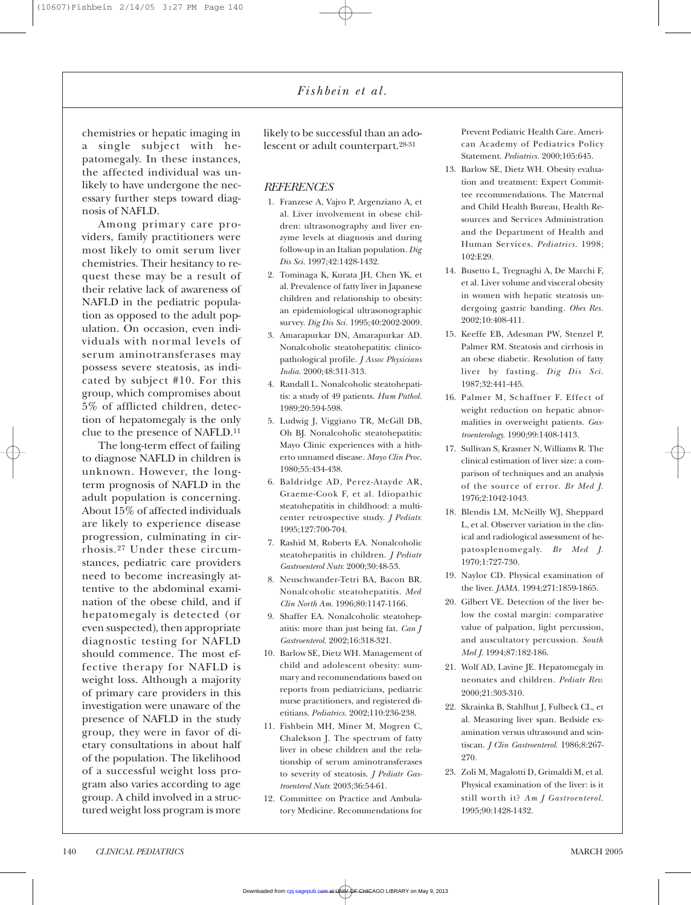*Fishbein et al.*

chemistries or hepatic imaging in a single subject with hepatomegaly. In these instances, the affected individual was unlikely to have undergone the necessary further steps toward diagnosis of NAFLD.

Among primary care providers, family practitioners were most likely to omit serum liver chemistries. Their hesitancy to request these may be a result of their relative lack of awareness of NAFLD in the pediatric population as opposed to the adult population. On occasion, even individuals with normal levels of serum aminotransferases may possess severe steatosis, as indicated by subject #10. For this group, which compromises about 5% of afflicted children, detection of hepatomegaly is the only clue to the presence of NAFLD.11

The long-term effect of failing to diagnose NAFLD in children is unknown. However, the longterm prognosis of NAFLD in the adult population is concerning. About 15% of affected individuals are likely to experience disease progression, culminating in cirrhosis.27 Under these circumstances, pediatric care providers need to become increasingly attentive to the abdominal examination of the obese child, and if hepatomegaly is detected (or even suspected), then appropriate diagnostic testing for NAFLD should commence. The most effective therapy for NAFLD is weight loss. Although a majority of primary care providers in this investigation were unaware of the presence of NAFLD in the study group, they were in favor of dietary consultations in about half of the population. The likelihood of a successful weight loss program also varies according to age group. A child involved in a structured weight loss program is more

likely to be successful than an adolescent or adult counterpart.28-31

#### *REFERENCES*

- 1. Franzese A, Vajro P, Argenziano A, et al. Liver involvement in obese children: ultrasonography and liver enzyme levels at diagnosis and during follow-up in an Italian population. *Dig Dis Sci.* 1997;42:1428-1432.
- 2. Tominaga K, Kurata JH, Chen YK, et al. Prevalence of fatty liver in Japanese children and relationship to obesity: an epidemiological ultrasonographic survey. *Dig Dis Sci.* 1995;40:2002-2009.
- 3. Amarapurkar DN, Amarapurkar AD. Nonalcoholic steatohepatitis: clinicopathological profile. *J Assoc Physicians India.* 2000;48:311-313.
- 4. Randall L. Nonalcoholic steatohepatitis: a study of 49 patients. *Hum Pathol.* 1989;20:594-598.
- 5. Ludwig J, Viggiano TR, McGill DB, Oh BJ. Nonalcoholic steatohepatitis: Mayo Clinic experiences with a hitherto unnamed disease. *Mayo Clin Proc.* 1980;55:434-438.
- 6. Baldridge AD, Perez-Atayde AR, Graeme-Cook F, et al. Idiopathic steatohepatitis in childhood: a multicenter retrospective study. *J Pediatr.* 1995;127:700-704.
- 7. Rashid M, Roberts EA. Nonalcoholic steatohepatitis in children. *J Pediatr Gastroenterol Nutr.* 2000;30:48-53.
- 8. Neuschwander-Tetri BA, Bacon BR. Nonalcoholic steatohepatitis. *Med Clin North Am.* 1996;80:1147-1166.
- 9. Shaffer EA. Nonalcoholic steatohepatitis: more than just being fat. *Can J Gastroenterol.* 2002;16:318-321.
- 10. Barlow SE, Dietz WH. Management of child and adolescent obesity: summary and recommendations based on reports from pediatricians, pediatric nurse practitioners, and registered dietitians. *Pediatrics.* 2002;110:236-238.
- 11. Fishbein MH, Miner M, Mogren C, Chalekson J. The spectrum of fatty liver in obese children and the relationship of serum aminotransferases to severity of steatosis. *J Pediatr Gastroenterol Nutr.* 2003;36:54-61.
- 12. Committee on Practice and Ambulatory Medicine. Recommendations for

Prevent Pediatric Health Care. American Academy of Pediatrics Policy Statement. *Pediatrics.* 2000;105:645.

- 13. Barlow SE, Dietz WH. Obesity evaluation and treatment: Expert Committee recommendations. The Maternal and Child Health Bureau, Health Resources and Services Administration and the Department of Health and Human Services. *Pediatrics.* 1998; 102:E29.
- 14. Busetto L, Tregnaghi A, De Marchi F, et al. Liver volume and visceral obesity in women with hepatic steatosis undergoing gastric banding. *Obes Res.* 2002;10:408-411.
- 15. Keeffe EB, Adesman PW, Stenzel P, Palmer RM. Steatosis and cirrhosis in an obese diabetic. Resolution of fatty liver by fasting. *Dig Dis Sci.* 1987;32:441-445.
- 16. Palmer M, Schaffner F. Effect of weight reduction on hepatic abnormalities in overweight patients. *Gastroenterology.* 1990;99:1408-1413.
- 17. Sullivan S, Krasner N, Williams R. The clinical estimation of liver size: a comparison of techniques and an analysis of the source of error. *Br Med J.* 1976;2:1042-1043.
- 18. Blendis LM, McNeilly WJ, Sheppard L, et al. Observer variation in the clinical and radiological assessment of hepatosplenomegaly. *Br Med J.* 1970;1:727-730.
- 19. Naylor CD. Physical examination of the liver. *JAMA.* 1994;271:1859-1865.
- 20. Gilbert VE. Detection of the liver below the costal margin: comparative value of palpation, light percussion, and auscultatory percussion. *South Med J.* 1994;87:182-186.
- 21. Wolf AD, Lavine JE. Hepatomegaly in neonates and children. *Pediatr Rev.* 2000;21:303-310.
- 22. Skrainka B, Stahlhut J, Fulbeck CL, et al. Measuring liver span. Bedside examination versus ultrasound and scintiscan. *J Clin Gastroenterol.* 1986;8:267- 270.
- 23. Zoli M, Magalotti D, Grimaldi M, et al. Physical examination of the liver: is it still worth it? *Am J Gastroenterol.* 1995;90:1428-1432.